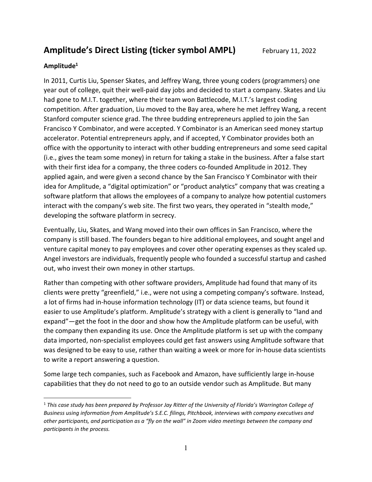Amplitude's Direct Listing (ticker symbol AMPL) February 11, 2022

### Amplitude<sup>1</sup>

In 2011, Curtis Liu, Spenser Skates, and Jeffrey Wang, three young coders (programmers) one year out of college, quit their well-paid day jobs and decided to start a company. Skates and Liu had gone to M.I.T. together, where their team won Battlecode, M.I.T.'s largest coding competition. After graduation, Liu moved to the Bay area, where he met Jeffrey Wang, a recent Stanford computer science grad. The three budding entrepreneurs applied to join the San Francisco Y Combinator, and were accepted. Y Combinator is an American seed money startup accelerator. Potential entrepreneurs apply, and if accepted, Y Combinator provides both an office with the opportunity to interact with other budding entrepreneurs and some seed capital (i.e., gives the team some money) in return for taking a stake in the business. After a false start with their first idea for a company, the three coders co-founded Amplitude in 2012. They applied again, and were given a second chance by the San Francisco Y Combinator with their idea for Amplitude, a "digital optimization" or "product analytics" company that was creating a software platform that allows the employees of a company to analyze how potential customers interact with the company's web site. The first two years, they operated in "stealth mode," developing the software platform in secrecy.

Eventually, Liu, Skates, and Wang moved into their own offices in San Francisco, where the company is still based. The founders began to hire additional employees, and sought angel and venture capital money to pay employees and cover other operating expenses as they scaled up. Angel investors are individuals, frequently people who founded a successful startup and cashed out, who invest their own money in other startups.

Rather than competing with other software providers, Amplitude had found that many of its clients were pretty "greenfield," i.e., were not using a competing company's software. Instead, a lot of firms had in-house information technology (IT) or data science teams, but found it easier to use Amplitude's platform. Amplitude's strategy with a client is generally to "land and expand"—get the foot in the door and show how the Amplitude platform can be useful, with the company then expanding its use. Once the Amplitude platform is set up with the company data imported, non-specialist employees could get fast answers using Amplitude software that was designed to be easy to use, rather than waiting a week or more for in-house data scientists to write a report answering a question.

Some large tech companies, such as Facebook and Amazon, have sufficiently large in-house capabilities that they do not need to go to an outside vendor such as Amplitude. But many

 $1$  This case study has been prepared by Professor Jay Ritter of the University of Florida's Warrington College of Business using information from Amplitude's S.E.C. filings, Pitchbook, interviews with company executives and other participants, and participation as a "fly on the wall" in Zoom video meetings between the company and participants in the process.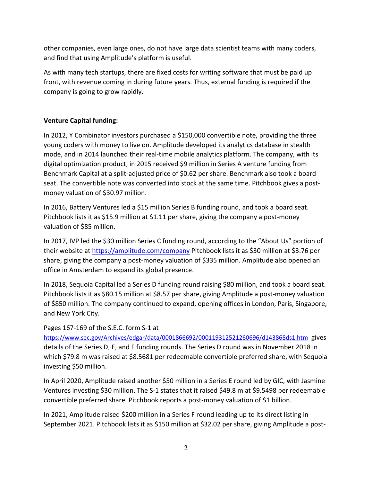other companies, even large ones, do not have large data scientist teams with many coders, and find that using Amplitude's platform is useful.

As with many tech startups, there are fixed costs for writing software that must be paid up front, with revenue coming in during future years. Thus, external funding is required if the company is going to grow rapidly.

# Venture Capital funding:

In 2012, Y Combinator investors purchased a \$150,000 convertible note, providing the three young coders with money to live on. Amplitude developed its analytics database in stealth mode, and in 2014 launched their real-time mobile analytics platform. The company, with its digital optimization product, in 2015 received \$9 million in Series A venture funding from Benchmark Capital at a split-adjusted price of \$0.62 per share. Benchmark also took a board seat. The convertible note was converted into stock at the same time. Pitchbook gives a postmoney valuation of \$30.97 million.

In 2016, Battery Ventures led a \$15 million Series B funding round, and took a board seat. Pitchbook lists it as \$15.9 million at \$1.11 per share, giving the company a post-money valuation of \$85 million.

In 2017, IVP led the \$30 million Series C funding round, according to the "About Us" portion of their website at https://amplitude.com/company Pitchbook lists it as \$30 million at \$3.76 per share, giving the company a post-money valuation of \$335 million. Amplitude also opened an office in Amsterdam to expand its global presence.

In 2018, Sequoia Capital led a Series D funding round raising \$80 million, and took a board seat. Pitchbook lists it as \$80.15 million at \$8.57 per share, giving Amplitude a post-money valuation of \$850 million. The company continued to expand, opening offices in London, Paris, Singapore, and New York City.

# Pages 167-169 of the S.E.C. form S-1 at

https://www.sec.gov/Archives/edgar/data/0001866692/000119312521260696/d143868ds1.htm gives details of the Series D, E, and F funding rounds. The Series D round was in November 2018 in which \$79.8 m was raised at \$8.5681 per redeemable convertible preferred share, with Sequoia investing \$50 million.

In April 2020, Amplitude raised another \$50 million in a Series E round led by GIC, with Jasmine Ventures investing \$30 million. The S-1 states that it raised \$49.8 m at \$9.5498 per redeemable convertible preferred share. Pitchbook reports a post-money valuation of \$1 billion.

In 2021, Amplitude raised \$200 million in a Series F round leading up to its direct listing in September 2021. Pitchbook lists it as \$150 million at \$32.02 per share, giving Amplitude a post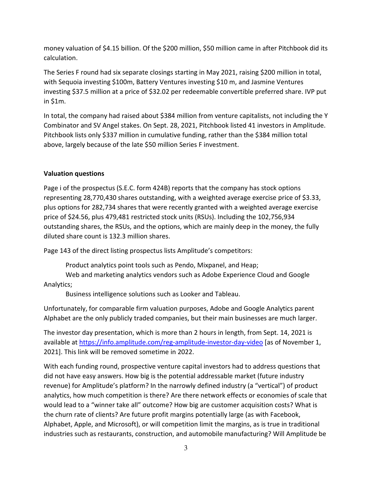money valuation of \$4.15 billion. Of the \$200 million, \$50 million came in after Pitchbook did its calculation.

The Series F round had six separate closings starting in May 2021, raising \$200 million in total, with Sequoia investing \$100m, Battery Ventures investing \$10 m, and Jasmine Ventures investing \$37.5 million at a price of \$32.02 per redeemable convertible preferred share. IVP put in \$1m.

In total, the company had raised about \$384 million from venture capitalists, not including the Y Combinator and SV Angel stakes. On Sept. 28, 2021, Pitchbook listed 41 investors in Amplitude. Pitchbook lists only \$337 million in cumulative funding, rather than the \$384 million total above, largely because of the late \$50 million Series F investment.

# Valuation questions

Page i of the prospectus (S.E.C. form 424B) reports that the company has stock options representing 28,770,430 shares outstanding, with a weighted average exercise price of \$3.33, plus options for 282,734 shares that were recently granted with a weighted average exercise price of \$24.56, plus 479,481 restricted stock units (RSUs). Including the 102,756,934 outstanding shares, the RSUs, and the options, which are mainly deep in the money, the fully diluted share count is 132.3 million shares.

Page 143 of the direct listing prospectus lists Amplitude's competitors:

Product analytics point tools such as Pendo, Mixpanel, and Heap;

 Web and marketing analytics vendors such as Adobe Experience Cloud and Google Analytics;

Business intelligence solutions such as Looker and Tableau.

Unfortunately, for comparable firm valuation purposes, Adobe and Google Analytics parent Alphabet are the only publicly traded companies, but their main businesses are much larger.

The investor day presentation, which is more than 2 hours in length, from Sept. 14, 2021 is available at https://info.amplitude.com/reg-amplitude-investor-day-video [as of November 1, 2021]. This link will be removed sometime in 2022.

With each funding round, prospective venture capital investors had to address questions that did not have easy answers. How big is the potential addressable market (future industry revenue) for Amplitude's platform? In the narrowly defined industry (a "vertical") of product analytics, how much competition is there? Are there network effects or economies of scale that would lead to a "winner take all" outcome? How big are customer acquisition costs? What is the churn rate of clients? Are future profit margins potentially large (as with Facebook, Alphabet, Apple, and Microsoft), or will competition limit the margins, as is true in traditional industries such as restaurants, construction, and automobile manufacturing? Will Amplitude be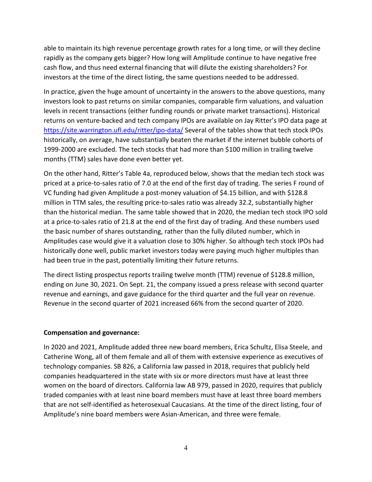able to maintain its high revenue percentage growth rates for a long time, or will they decline rapidly as the company gets bigger? How long will Amplitude continue to have negative free cash flow, and thus need external financing that will dilute the existing shareholders? For investors at the time of the direct listing, the same questions needed to be addressed.

In practice, given the huge amount of uncertainty in the answers to the above questions, many investors look to past returns on similar companies, comparable firm valuations, and valuation levels in recent transactions (either funding rounds or private market transactions). Historical returns on venture-backed and tech company IPOs are available on Jay Ritter's IPO data page at https://site.warrington.ufl.edu/ritter/ipo-data/ Several of the tables show that tech stock IPOs historically, on average, have substantially beaten the market if the internet bubble cohorts of 1999-2000 are excluded. The tech stocks that had more than \$100 million in trailing twelve months (TTM) sales have done even better yet.

On the other hand, Ritter's Table 4a, reproduced below, shows that the median tech stock was priced at a price-to-sales ratio of 7.0 at the end of the first day of trading. The series F round of VC funding had given Amplitude a post-money valuation of \$4.15 billion, and with \$128.8 million in TTM sales, the resulting price-to-sales ratio was already 32.2, substantially higher than the historical median. The same table showed that in 2020, the median tech stock IPO sold at a price-to-sales ratio of 21.8 at the end of the first day of trading. And these numbers used the basic number of shares outstanding, rather than the fully diluted number, which in Amplitudes case would give it a valuation close to 30% higher. So although tech stock IPOs had historically done well, public market investors today were paying much higher multiples than had been true in the past, potentially limiting their future returns.

The direct listing prospectus reports trailing twelve month (TTM) revenue of \$128.8 million, ending on June 30, 2021. On Sept. 21, the company issued a press release with second quarter revenue and earnings, and gave guidance for the third quarter and the full year on revenue. Revenue in the second quarter of 2021 increased 66% from the second quarter of 2020.

#### Compensation and governance:

In 2020 and 2021, Amplitude added three new board members, Erica Schultz, Elisa Steele, and Catherine Wong, all of them female and all of them with extensive experience as executives of technology companies. SB 826, a California law passed in 2018, requires that publicly held companies headquartered in the state with six or more directors must have at least three women on the board of directors. California law AB 979, passed in 2020, requires that publicly traded companies with at least nine board members must have at least three board members that are not self-identified as heterosexual Caucasians. At the time of the direct listing, four of Amplitude's nine board members were Asian-American, and three were female.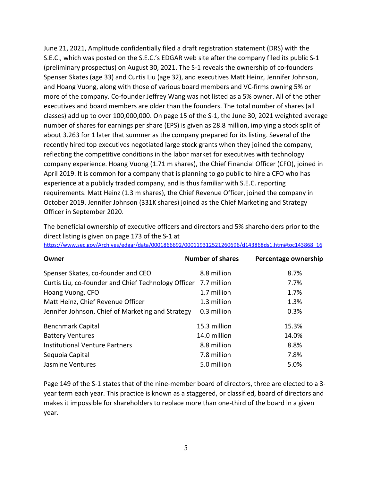June 21, 2021, Amplitude confidentially filed a draft registration statement (DRS) with the S.E.C., which was posted on the S.E.C.'s EDGAR web site after the company filed its public S-1 (preliminary prospectus) on August 30, 2021. The S-1 reveals the ownership of co-founders Spenser Skates (age 33) and Curtis Liu (age 32), and executives Matt Heinz, Jennifer Johnson, and Hoang Vuong, along with those of various board members and VC-firms owning 5% or more of the company. Co-founder Jeffrey Wang was not listed as a 5% owner. All of the other executives and board members are older than the founders. The total number of shares (all classes) add up to over 100,000,000. On page 15 of the S-1, the June 30, 2021 weighted average number of shares for earnings per share (EPS) is given as 28.8 million, implying a stock split of about 3.263 for 1 later that summer as the company prepared for its listing. Several of the recently hired top executives negotiated large stock grants when they joined the company, reflecting the competitive conditions in the labor market for executives with technology company experience. Hoang Vuong (1.71 m shares), the Chief Financial Officer (CFO), joined in April 2019. It is common for a company that is planning to go public to hire a CFO who has experience at a publicly traded company, and is thus familiar with S.E.C. reporting requirements. Matt Heinz (1.3 m shares), the Chief Revenue Officer, joined the company in October 2019. Jennifer Johnson (331K shares) joined as the Chief Marketing and Strategy Officer in September 2020.

The beneficial ownership of executive officers and directors and 5% shareholders prior to the direct listing is given on page 173 of the S-1 at

|  | https://www.sec.gov/Archives/edgar/data/0001866692/000119312521260696/d143868ds1.htm#toc143868_16 |  |
|--|---------------------------------------------------------------------------------------------------|--|
|  |                                                                                                   |  |

| Owner                                                           | <b>Number of shares</b> | Percentage ownership |
|-----------------------------------------------------------------|-------------------------|----------------------|
| Spenser Skates, co-founder and CEO                              | 8.8 million             | 8.7%                 |
| Curtis Liu, co-founder and Chief Technology Officer 7.7 million |                         | 7.7%                 |
| Hoang Vuong, CFO                                                | 1.7 million             | 1.7%                 |
| Matt Heinz, Chief Revenue Officer                               | 1.3 million             | 1.3%                 |
| Jennifer Johnson, Chief of Marketing and Strategy               | 0.3 million             | 0.3%                 |
| <b>Benchmark Capital</b>                                        | 15.3 million            | 15.3%                |
| <b>Battery Ventures</b>                                         | 14.0 million            | 14.0%                |
| <b>Institutional Venture Partners</b>                           | 8.8 million             | 8.8%                 |
| Sequoia Capital                                                 | 7.8 million             | 7.8%                 |
| Jasmine Ventures                                                | 5.0 million             | 5.0%                 |

Page 149 of the S-1 states that of the nine-member board of directors, three are elected to a 3 year term each year. This practice is known as a staggered, or classified, board of directors and makes it impossible for shareholders to replace more than one-third of the board in a given year.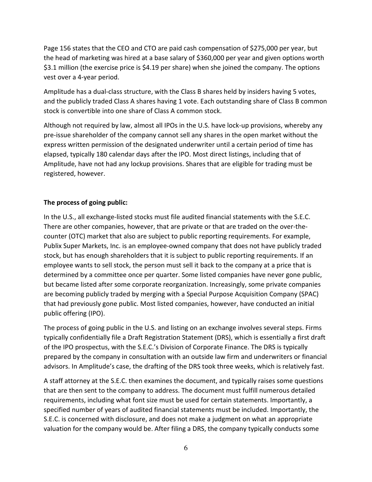Page 156 states that the CEO and CTO are paid cash compensation of \$275,000 per year, but the head of marketing was hired at a base salary of \$360,000 per year and given options worth \$3.1 million (the exercise price is \$4.19 per share) when she joined the company. The options vest over a 4-year period.

Amplitude has a dual-class structure, with the Class B shares held by insiders having 5 votes, and the publicly traded Class A shares having 1 vote. Each outstanding share of Class B common stock is convertible into one share of Class A common stock.

Although not required by law, almost all IPOs in the U.S. have lock-up provisions, whereby any pre-issue shareholder of the company cannot sell any shares in the open market without the express written permission of the designated underwriter until a certain period of time has elapsed, typically 180 calendar days after the IPO. Most direct listings, including that of Amplitude, have not had any lockup provisions. Shares that are eligible for trading must be registered, however.

# The process of going public:

In the U.S., all exchange-listed stocks must file audited financial statements with the S.E.C. There are other companies, however, that are private or that are traded on the over-thecounter (OTC) market that also are subject to public reporting requirements. For example, Publix Super Markets, Inc. is an employee-owned company that does not have publicly traded stock, but has enough shareholders that it is subject to public reporting requirements. If an employee wants to sell stock, the person must sell it back to the company at a price that is determined by a committee once per quarter. Some listed companies have never gone public, but became listed after some corporate reorganization. Increasingly, some private companies are becoming publicly traded by merging with a Special Purpose Acquisition Company (SPAC) that had previously gone public. Most listed companies, however, have conducted an initial public offering (IPO).

The process of going public in the U.S. and listing on an exchange involves several steps. Firms typically confidentially file a Draft Registration Statement (DRS), which is essentially a first draft of the IPO prospectus, with the S.E.C.'s Division of Corporate Finance. The DRS is typically prepared by the company in consultation with an outside law firm and underwriters or financial advisors. In Amplitude's case, the drafting of the DRS took three weeks, which is relatively fast.

A staff attorney at the S.E.C. then examines the document, and typically raises some questions that are then sent to the company to address. The document must fulfill numerous detailed requirements, including what font size must be used for certain statements. Importantly, a specified number of years of audited financial statements must be included. Importantly, the S.E.C. is concerned with disclosure, and does not make a judgment on what an appropriate valuation for the company would be. After filing a DRS, the company typically conducts some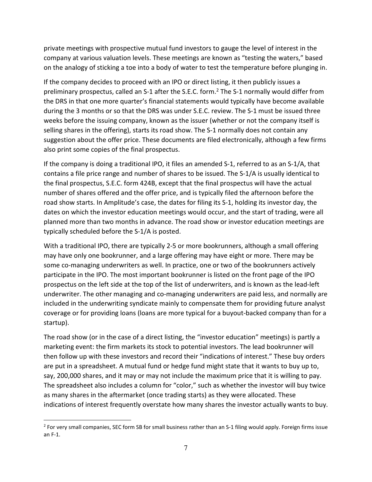private meetings with prospective mutual fund investors to gauge the level of interest in the company at various valuation levels. These meetings are known as "testing the waters," based on the analogy of sticking a toe into a body of water to test the temperature before plunging in.

If the company decides to proceed with an IPO or direct listing, it then publicly issues a preliminary prospectus, called an S-1 after the S.E.C. form.<sup>2</sup> The S-1 normally would differ from the DRS in that one more quarter's financial statements would typically have become available during the 3 months or so that the DRS was under S.E.C. review. The S-1 must be issued three weeks before the issuing company, known as the issuer (whether or not the company itself is selling shares in the offering), starts its road show. The S-1 normally does not contain any suggestion about the offer price. These documents are filed electronically, although a few firms also print some copies of the final prospectus.

If the company is doing a traditional IPO, it files an amended S-1, referred to as an S-1/A, that contains a file price range and number of shares to be issued. The S-1/A is usually identical to the final prospectus, S.E.C. form 424B, except that the final prospectus will have the actual number of shares offered and the offer price, and is typically filed the afternoon before the road show starts. In Amplitude's case, the dates for filing its S-1, holding its investor day, the dates on which the investor education meetings would occur, and the start of trading, were all planned more than two months in advance. The road show or investor education meetings are typically scheduled before the S-1/A is posted.

With a traditional IPO, there are typically 2-5 or more bookrunners, although a small offering may have only one bookrunner, and a large offering may have eight or more. There may be some co-managing underwriters as well. In practice, one or two of the bookrunners actively participate in the IPO. The most important bookrunner is listed on the front page of the IPO prospectus on the left side at the top of the list of underwriters, and is known as the lead-left underwriter. The other managing and co-managing underwriters are paid less, and normally are included in the underwriting syndicate mainly to compensate them for providing future analyst coverage or for providing loans (loans are more typical for a buyout-backed company than for a startup).

The road show (or in the case of a direct listing, the "investor education" meetings) is partly a marketing event: the firm markets its stock to potential investors. The lead bookrunner will then follow up with these investors and record their "indications of interest." These buy orders are put in a spreadsheet. A mutual fund or hedge fund might state that it wants to buy up to, say, 200,000 shares, and it may or may not include the maximum price that it is willing to pay. The spreadsheet also includes a column for "color," such as whether the investor will buy twice as many shares in the aftermarket (once trading starts) as they were allocated. These indications of interest frequently overstate how many shares the investor actually wants to buy.

<sup>&</sup>lt;sup>2</sup> For very small companies, SEC form SB for small business rather than an S-1 filing would apply. Foreign firms issue an F-1.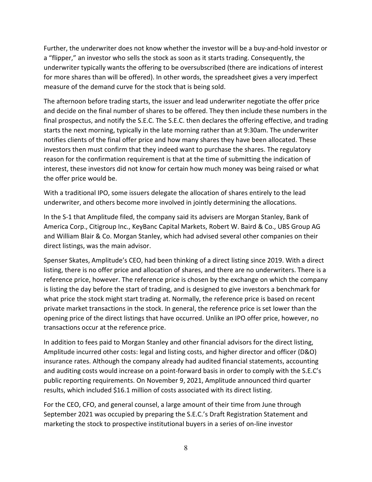Further, the underwriter does not know whether the investor will be a buy-and-hold investor or a "flipper," an investor who sells the stock as soon as it starts trading. Consequently, the underwriter typically wants the offering to be oversubscribed (there are indications of interest for more shares than will be offered). In other words, the spreadsheet gives a very imperfect measure of the demand curve for the stock that is being sold.

The afternoon before trading starts, the issuer and lead underwriter negotiate the offer price and decide on the final number of shares to be offered. They then include these numbers in the final prospectus, and notify the S.E.C. The S.E.C. then declares the offering effective, and trading starts the next morning, typically in the late morning rather than at 9:30am. The underwriter notifies clients of the final offer price and how many shares they have been allocated. These investors then must confirm that they indeed want to purchase the shares. The regulatory reason for the confirmation requirement is that at the time of submitting the indication of interest, these investors did not know for certain how much money was being raised or what the offer price would be.

With a traditional IPO, some issuers delegate the allocation of shares entirely to the lead underwriter, and others become more involved in jointly determining the allocations.

In the S-1 that Amplitude filed, the company said its advisers are Morgan Stanley, Bank of America Corp., Citigroup Inc., KeyBanc Capital Markets, Robert W. Baird & Co., UBS Group AG and William Blair & Co. Morgan Stanley, which had advised several other companies on their direct listings, was the main advisor.

Spenser Skates, Amplitude's CEO, had been thinking of a direct listing since 2019. With a direct listing, there is no offer price and allocation of shares, and there are no underwriters. There is a reference price, however. The reference price is chosen by the exchange on which the company is listing the day before the start of trading, and is designed to give investors a benchmark for what price the stock might start trading at. Normally, the reference price is based on recent private market transactions in the stock. In general, the reference price is set lower than the opening price of the direct listings that have occurred. Unlike an IPO offer price, however, no transactions occur at the reference price.

In addition to fees paid to Morgan Stanley and other financial advisors for the direct listing, Amplitude incurred other costs: legal and listing costs, and higher director and officer (D&O) insurance rates. Although the company already had audited financial statements, accounting and auditing costs would increase on a point-forward basis in order to comply with the S.E.C's public reporting requirements. On November 9, 2021, Amplitude announced third quarter results, which included \$16.1 million of costs associated with its direct listing.

For the CEO, CFO, and general counsel, a large amount of their time from June through September 2021 was occupied by preparing the S.E.C.'s Draft Registration Statement and marketing the stock to prospective institutional buyers in a series of on-line investor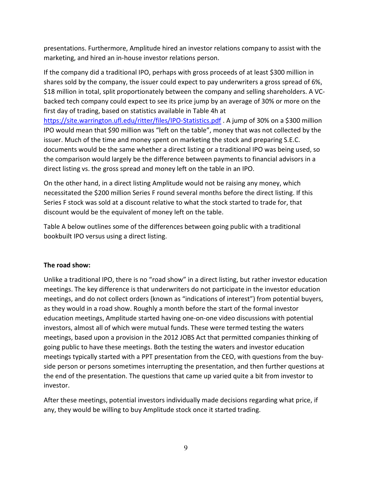presentations. Furthermore, Amplitude hired an investor relations company to assist with the marketing, and hired an in-house investor relations person.

If the company did a traditional IPO, perhaps with gross proceeds of at least \$300 million in shares sold by the company, the issuer could expect to pay underwriters a gross spread of 6%, \$18 million in total, split proportionately between the company and selling shareholders. A VCbacked tech company could expect to see its price jump by an average of 30% or more on the first day of trading, based on statistics available in Table 4h at https://site.warrington.ufl.edu/ritter/files/IPO-Statistics.pdf . A jump of 30% on a \$300 million IPO would mean that \$90 million was "left on the table", money that was not collected by the issuer. Much of the time and money spent on marketing the stock and preparing S.E.C.

documents would be the same whether a direct listing or a traditional IPO was being used, so the comparison would largely be the difference between payments to financial advisors in a direct listing vs. the gross spread and money left on the table in an IPO.

On the other hand, in a direct listing Amplitude would not be raising any money, which necessitated the \$200 million Series F round several months before the direct listing. If this Series F stock was sold at a discount relative to what the stock started to trade for, that discount would be the equivalent of money left on the table.

Table A below outlines some of the differences between going public with a traditional bookbuilt IPO versus using a direct listing.

# The road show:

Unlike a traditional IPO, there is no "road show" in a direct listing, but rather investor education meetings. The key difference is that underwriters do not participate in the investor education meetings, and do not collect orders (known as "indications of interest") from potential buyers, as they would in a road show. Roughly a month before the start of the formal investor education meetings, Amplitude started having one-on-one video discussions with potential investors, almost all of which were mutual funds. These were termed testing the waters meetings, based upon a provision in the 2012 JOBS Act that permitted companies thinking of going public to have these meetings. Both the testing the waters and investor education meetings typically started with a PPT presentation from the CEO, with questions from the buyside person or persons sometimes interrupting the presentation, and then further questions at the end of the presentation. The questions that came up varied quite a bit from investor to investor.

After these meetings, potential investors individually made decisions regarding what price, if any, they would be willing to buy Amplitude stock once it started trading.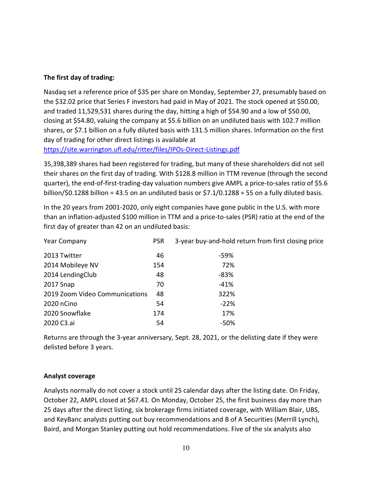## The first day of trading:

Nasdaq set a reference price of \$35 per share on Monday, September 27, presumably based on the \$32.02 price that Series F investors had paid in May of 2021. The stock opened at \$50.00, and traded 11,529,531 shares during the day, hitting a high of \$54.90 and a low of \$50.00, closing at \$54.80, valuing the company at \$5.6 billion on an undiluted basis with 102.7 million shares, or \$7.1 billion on a fully diluted basis with 131.5 million shares. Information on the first day of trading for other direct listings is available at

https://site.warrington.ufl.edu/ritter/files/IPOs-Direct-Listings.pdf

35,398,389 shares had been registered for trading, but many of these shareholders did not sell their shares on the first day of trading. With \$128.8 million in TTM revenue (through the second quarter), the end-of-first-trading-day valuation numbers give AMPL a price-to-sales ratio of \$5.6 billion/\$0.1288 billion = 43.5 on an undiluted basis or \$7.1/0.1288 = 55 on a fully diluted basis.

In the 20 years from 2001-2020, only eight companies have gone public in the U.S. with more than an inflation-adjusted \$100 million in TTM and a price-to-sales (PSR) ratio at the end of the first day of greater than 42 on an undiluted basis:

| <b>Year Company</b>            | <b>PSR</b> | 3-year buy-and-hold return from first closing price |
|--------------------------------|------------|-----------------------------------------------------|
| 2013 Twitter                   | 46         | -59%                                                |
| 2014 Mobileye NV               | 154        | 72%                                                 |
| 2014 LendingClub               | 48         | $-83%$                                              |
| 2017 Snap                      | 70         | $-41%$                                              |
| 2019 Zoom Video Communications | 48         | 322%                                                |
| 2020 nCino                     | 54         | $-22%$                                              |
| 2020 Snowflake                 | 174        | 17%                                                 |
| 2020 C3.ai                     | 54         | -50%                                                |

Returns are through the 3-year anniversary, Sept. 28, 2021, or the delisting date if they were delisted before 3 years.

#### Analyst coverage

Analysts normally do not cover a stock until 25 calendar days after the listing date. On Friday, October 22, AMPL closed at \$67.41. On Monday, October 25, the first business day more than 25 days after the direct listing, six brokerage firms initiated coverage, with William Blair, UBS, and KeyBanc analysts putting out buy recommendations and B of A Securities (Merrill Lynch), Baird, and Morgan Stanley putting out hold recommendations. Five of the six analysts also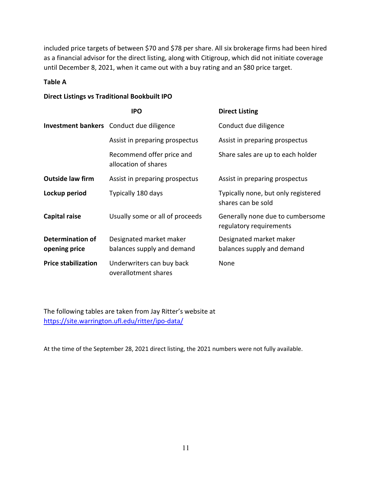included price targets of between \$70 and \$78 per share. All six brokerage firms had been hired as a financial advisor for the direct listing, along with Citigroup, which did not initiate coverage until December 8, 2021, when it came out with a buy rating and an \$80 price target.

### Table A

### Direct Listings vs Traditional Bookbuilt IPO

|                                          | <b>IPO</b>                                            | <b>Direct Listing</b>                                       |
|------------------------------------------|-------------------------------------------------------|-------------------------------------------------------------|
|                                          | <b>Investment bankers</b> Conduct due diligence       | Conduct due diligence                                       |
|                                          | Assist in preparing prospectus                        | Assist in preparing prospectus                              |
|                                          | Recommend offer price and<br>allocation of shares     | Share sales are up to each holder                           |
| <b>Outside law firm</b>                  | Assist in preparing prospectus                        | Assist in preparing prospectus                              |
| Lockup period                            | Typically 180 days                                    | Typically none, but only registered<br>shares can be sold   |
| Capital raise                            | Usually some or all of proceeds                       | Generally none due to cumbersome<br>regulatory requirements |
| <b>Determination of</b><br>opening price | Designated market maker<br>balances supply and demand | Designated market maker<br>balances supply and demand       |
| <b>Price stabilization</b>               | Underwriters can buy back<br>overallotment shares     | None                                                        |

The following tables are taken from Jay Ritter's website at https://site.warrington.ufl.edu/ritter/ipo-data/

At the time of the September 28, 2021 direct listing, the 2021 numbers were not fully available.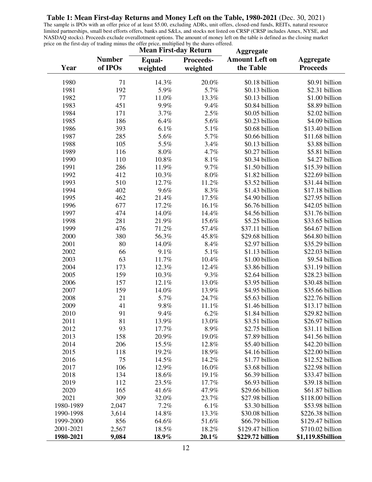**Table 1: Mean First-day Returns and Money Left on the Table, 1980-2021** (Dec. 30, 2021)

The sample is IPOs with an offer price of at least \$5.00, excluding ADRs, unit offers, closed-end funds, REITs, natural resource limited partnerships, small best efforts offers, banks and S&Ls, and stocks not listed on CRSP (CRSP includes Amex, NYSE, and NASDAQ stocks). Proceeds exclude overallotment options. The amount of money left on the table is defined as the closing market price on the first-day of trading minus the offer price, multiplied by the shares offered.

|           |               | <b>Mean First-day Return</b> |           | <b>Aggregate</b>      |                   |  |
|-----------|---------------|------------------------------|-----------|-----------------------|-------------------|--|
|           | <b>Number</b> | Equal-                       | Proceeds- | <b>Amount Left on</b> | <b>Aggregate</b>  |  |
| Year      | of IPOs       | weighted                     | weighted  | the Table             | <b>Proceeds</b>   |  |
|           |               |                              |           |                       |                   |  |
| 1980      | 71            | 14.3%                        | 20.0%     | \$0.18 billion        | \$0.91 billion    |  |
| 1981      | 192           | 5.9%                         | 5.7%      | \$0.13 billion        | \$2.31 billion    |  |
| 1982      | 77            | 11.0%                        | 13.3%     | \$0.13 billion        | \$1.00 billion    |  |
| 1983      | 451           | $9.9\%$                      | 9.4%      | \$0.84 billion        | \$8.89 billion    |  |
| 1984      | 171           | 3.7%                         | 2.5%      | \$0.05 billion        | \$2.02 billion    |  |
| 1985      | 186           | 6.4%                         | 5.6%      | \$0.23 billion        | \$4.09 billion    |  |
| 1986      | 393           | 6.1%                         | 5.1%      | \$0.68 billion        | \$13.40 billion   |  |
| 1987      | 285           | 5.6%                         | 5.7%      | \$0.66 billion        | \$11.68 billion   |  |
| 1988      | 105           | 5.5%                         | 3.4%      | \$0.13 billion        | \$3.88 billion    |  |
| 1989      | 116           | $8.0\%$                      | 4.7%      | \$0.27 billion        | \$5.81 billion    |  |
| 1990      | 110           | 10.8%                        | 8.1%      | \$0.34 billion        | \$4.27 billion    |  |
| 1991      | 286           | 11.9%                        | 9.7%      | \$1.50 billion        | \$15.39 billion   |  |
| 1992      | 412           | 10.3%                        | $8.0\%$   | \$1.82 billion        | \$22.69 billion   |  |
| 1993      | 510           | 12.7%                        | 11.2%     | \$3.52 billion        | \$31.44 billion   |  |
| 1994      | 402           | 9.6%                         | 8.3%      | \$1.43 billion        | \$17.18 billion   |  |
| 1995      | 462           | 21.4%                        | 17.5%     | \$4.90 billion        | \$27.95 billion   |  |
| 1996      | 677           | 17.2%                        | 16.1%     | \$6.76 billion        | \$42.05 billion   |  |
| 1997      | 474           | 14.0%                        | 14.4%     | \$4.56 billion        | \$31.76 billion   |  |
| 1998      | 281           | 21.9%                        | 15.6%     | \$5.25 billion        | \$33.65 billion   |  |
| 1999      | 476           | 71.2%                        | 57.4%     | \$37.11 billion       | \$64.67 billion   |  |
| 2000      | 380           | 56.3%                        | 45.8%     | \$29.68 billion       | \$64.80 billion   |  |
| 2001      | 80            | 14.0%                        | 8.4%      | \$2.97 billion        | \$35.29 billion   |  |
| 2002      | 66            | 9.1%                         | 5.1%      | \$1.13 billion        | \$22.03 billion   |  |
| 2003      | 63            | 11.7%                        | 10.4%     | \$1.00 billion        | \$9.54 billion    |  |
| 2004      | 173           | 12.3%                        | 12.4%     | \$3.86 billion        | \$31.19 billion   |  |
| 2005      | 159           | 10.3%                        | 9.3%      | \$2.64 billion        | \$28.23 billion   |  |
| 2006      | 157           | 12.1%                        | 13.0%     | \$3.95 billion        | \$30.48 billion   |  |
| 2007      | 159           | 14.0%                        | 13.9%     | \$4.95 billion        | \$35.66 billion   |  |
| 2008      | 21            | 5.7%                         | 24.7%     | \$5.63 billion        | \$22.76 billion   |  |
| 2009      | 41            | 9.8%                         | 11.1%     | \$1.46 billion        | \$13.17 billion   |  |
| 2010      | 91            | 9.4%                         | 6.2%      | \$1.84 billion        | \$29.82 billion   |  |
| 2011      | 81            | 13.9%                        | 13.0%     | \$3.51 billion        | \$26.97 billion   |  |
| 2012      | 93            | 17.7%                        | 8.9%      | \$2.75 billion        | \$31.11 billion   |  |
| 2013      | 158           | 20.9%                        | 19.0%     | \$7.89 billion        | \$41.56 billion   |  |
| 2014      | 206           | 15.5%                        | 12.8%     | \$5.40 billion        | \$42.20 billion   |  |
| 2015      | 118           | 19.2%                        | 18.9%     | \$4.16 billion        | \$22.00 billion   |  |
| 2016      | 75            | 14.5%                        | 14.2%     | \$1.77 billion        | \$12.52 billion   |  |
| 2017      | 106           | 12.9%                        | 16.0%     | \$3.68 billion        | \$22.98 billion   |  |
| 2018      | 134           | 18.6%                        | 19.1%     | \$6.39 billion        | \$33.47 billion   |  |
| 2019      |               |                              |           |                       |                   |  |
|           | 112           | 23.5%                        | 17.7%     | \$6.93 billion        | \$39.18 billion   |  |
| 2020      | 165           | 41.6%                        | 47.9%     | \$29.66 billion       | \$61.87 billion   |  |
| 2021      | 309           | 32.0%                        | 23.7%     | \$27.98 billion       | \$118.00 billion  |  |
| 1980-1989 | 2,047         | 7.2%                         | 6.1%      | \$3.30 billion        | \$53.98 billion   |  |
| 1990-1998 | 3,614         | 14.8%                        | 13.3%     | \$30.08 billion       | \$226.38 billion  |  |
| 1999-2000 | 856           | 64.6%                        | 51.6%     | \$66.79 billion       | \$129.47 billion  |  |
| 2001-2021 | 2,567         | 18.5%                        | 18.2%     | \$129.47 billion      | \$710.02 billion  |  |
| 1980-2021 | 9,084         | 18.9%                        | 20.1%     | \$229.72 billion      | \$1,119.85billion |  |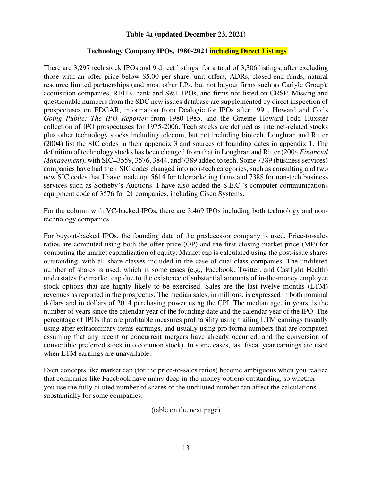#### **Table 4a (updated December 23, 2021)**

#### **Technology Company IPOs, 1980-2021 including Direct Listings**

There are 3,297 tech stock IPOs and 9 direct listings, for a total of 3,306 listings, after excluding those with an offer price below \$5.00 per share, unit offers, ADRs, closed-end funds, natural resource limited partnerships (and most other LPs, but not buyout firms such as Carlyle Group), acquisition companies, REITs, bank and S&L IPOs, and firms not listed on CRSP. Missing and questionable numbers from the SDC new issues database are supplemented by direct inspection of prospectuses on EDGAR, information from Dealogic for IPOs after 1991, Howard and Co.'s *Going Public: The IPO Reporter* from 1980-1985, and the Graeme Howard-Todd Huxster collection of IPO prospectuses for 1975-2006. Tech stocks are defined as internet-related stocks plus other technology stocks including telecom, but not including biotech. Loughran and Ritter (2004) list the SIC codes in their appendix 3 and sources of founding dates in appendix 1. The definition of technology stocks has been changed from that in Loughran and Ritter (2004 *Financial Management*), with SIC=3559, 3576, 3844, and 7389 added to tech. Some 7389 (business services) companies have had their SIC codes changed into non-tech categories, such as consulting and two new SIC codes that I have made up: 5614 for telemarketing firms and 7388 for non-tech business services such as Sotheby's Auctions. I have also added the S.E.C.'s computer communications equipment code of 3576 for 21 companies, including Cisco Systems.

For the column with VC-backed IPOs, there are 3,469 IPOs including both technology and nontechnology companies.

For buyout-backed IPOs, the founding date of the predecessor company is used. Price-to-sales ratios are computed using both the offer price (OP) and the first closing market price (MP) for computing the market capitalization of equity. Market cap is calculated using the post-issue shares outstanding, with all share classes included in the case of dual-class companies. The undiluted number of shares is used, which is some cases (e.g., Facebook, Twitter, and Castlight Health) understates the market cap due to the existence of substantial amounts of in-the-money employee stock options that are highly likely to be exercised. Sales are the last twelve months (LTM) revenues as reported in the prospectus. The median sales, in millions, is expressed in both nominal dollars and in dollars of 2014 purchasing power using the CPI. The median age, in years, is the number of years since the calendar year of the founding date and the calendar year of the IPO. The percentage of IPOs that are profitable measures profitability using trailing LTM earnings (usually using after extraordinary items earnings, and usually using pro forma numbers that are computed assuming that any recent or concurrent mergers have already occurred, and the conversion of convertible preferred stock into common stock). In some cases, last fiscal year earnings are used when LTM earnings are unavailable.

Even concepts like market cap (for the price-to-sales ratios) become ambiguous when you realize that companies like Facebook have many deep in-the-money options outstanding, so whether you use the fully diluted number of shares or the undiluted number can affect the calculations substantially for some companies.

(table on the next page)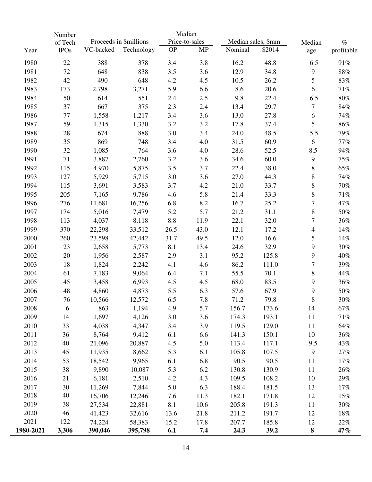|           | Median<br>Number |           |                        |           |                |                    |        |                          |            |
|-----------|------------------|-----------|------------------------|-----------|----------------|--------------------|--------|--------------------------|------------|
|           | of Tech          |           | Proceeds in \$millions |           | Price-to-sales | Median sales, \$mm |        | Median                   | $\%$       |
| Year      | <b>IPOs</b>      | VC-backed | Technology             | <b>OP</b> | MP             | Nominal            | \$2014 | age                      | profitable |
| 1980      | 22               | 388       | 378                    | 3.4       | 3.8            | 16.2               | 48.8   | 6.5                      | 91%        |
| 1981      | $72\,$           | 648       | 838                    | 3.5       | 3.6            | 12.9               | 34.8   | 9                        | $88\%$     |
| 1982      | 42               | 490       | 648                    | 4.2       | 4.5            | 10.5               | 26.2   | 5                        | 83%        |
| 1983      | 173              | 2,798     | 3,271                  | 5.9       | 6.6            | 8.6                | 20.6   | 6                        | 71%        |
| 1984      | 50               | 614       | 551                    | 2.4       | 2.5            | 9.8                | 22.4   | 6.5                      | $80\%$     |
| 1985      | 37               | 667       | 375                    | 2.3       | 2.4            | 13.4               | 29.7   | 7                        | $84\%$     |
| 1986      | $77 \,$          | 1,558     | 1,217                  | 3.4       | 3.6            | 13.0               | 27.8   | 6                        | 74%        |
| 1987      | 59               | 1,315     | 1,330                  | 3.2       | 3.2            | 17.8               | 37.4   | 5                        | $86\%$     |
| 1988      | 28               | 674       | 888                    | 3.0       | 3.4            | 24.0               | 48.5   | 5.5                      | 79%        |
| 1989      | 35               | 869       | 748                    | 3.4       | 4.0            | 31.5               | 60.9   | 6                        | $77\%$     |
| 1990      | 32               | 1,085     | 764                    | 3.6       | 4.0            | 28.6               | 52.5   | 8.5                      | 94%        |
| 1991      | 71               | 3,887     | 2,760                  | 3.2       | 3.6            | 34.6               | 60.0   | 9                        | 75%        |
| 1992      | 115              | 4,970     | 5,875                  | 3.5       | 3.7            | 22.4               | 38.0   | $8\,$                    | 65%        |
| 1993      | 127              | 5,929     | 5,715                  | 3.0       | 3.6            | 27.0               | 44.3   | 8                        | 74%        |
| 1994      | 115              | 3,691     | 3,583                  | 3.7       | 4.2            | 21.0               | 33.7   | $\,8$                    | 70%        |
| 1995      | 205              | 7,165     | 9,786                  | 4.6       | 5.8            | 21.4               | 33.3   | 8                        | $71\%$     |
| 1996      | 276              | 11,681    | 16,256                 | 6.8       | 8.2            | 16.7               | 25.2   | 7                        | 47%        |
| 1997      | 174              | 5,016     | 7,479                  | 5.2       | 5.7            | 21.2               | 31.1   | $8\,$                    | $50\%$     |
| 1998      | 113              | 4,037     | 8,118                  | 8.8       | 11.9           | 22.1               | 32.0   | $\tau$                   | 36%        |
| 1999      | 370              | 22,298    | 33,512                 | 26.5      | 43.0           | 12.1               | 17.2   | $\overline{\mathcal{A}}$ | 14%        |
| 2000      | 260              | 23,598    | 42,442                 | 31.7      | 49.5           | 12.0               | 16.6   | 5                        | $14\%$     |
| 2001      | 23               | 2,658     | 5,773                  | 8.1       | 13.4           | 24.6               | 32.9   | 9                        | 30%        |
| 2002      | 20               | 1,956     | 2,587                  | 2.9       | 3.1            | 95.2               | 125.8  | 9                        | 40%        |
| 2003      | 18               | 1,824     | 2,242                  | 4.1       | 4.6            | 86.2               | 111.0  | $\boldsymbol{7}$         | 39%        |
| 2004      | 61               | 7,183     | 9,064                  | 6.4       | 7.1            | 55.5               | 70.1   | 8                        | 44%        |
| 2005      | 45               | 3,458     | 6,993                  | 4.5       | 4.5            | 68.0               | 83.5   | 9                        | 36%        |
| 2006      | 48               | 4,860     | 4,873                  | 5.5       | 6.3            | 57.6               | 67.9   | 9                        | 50%        |
| 2007      | 76               | 10,566    | 12,572                 | 6.5       | 7.8            | 71.2               | 79.8   | 8                        | 30%        |
| 2008      | 6                | 863       | 1,194                  | 4.9       | 5.7            | 156.7              | 173.6  | 14                       | $67\%$     |
| 2009      | 14               | 1,697     | 4,126                  | 3.0       | 3.6            | 174.3              | 193.1  | $11\,$                   | $71\%$     |
| 2010      | 33               | 4,038     | 4,347                  | 3.4       | 3.9            | 119.5              | 129.0  | 11                       | $64\%$     |
| 2011      | 36               | 8,764     | 9,412                  | 6.1       | 6.6            | 141.3              | 150.1  | 10                       | 36%        |
| 2012      | 40               | 21,096    | 20,887                 | 4.5       | 5.0            | 113.4              | 117.1  | 9.5                      | 43%        |
| 2013      | 45               | 11,935    | 8,662                  | 5.3       | 6.1            | 105.8              | 107.5  | 9                        | 27%        |
| 2014      | 53               | 18,542    | 9,965                  | 6.1       | 6.8            | 90.5               | 90.5   | 11                       | 17%        |
| 2015      | 38               | 9,890     | 10,087                 | 5.3       | 6.2            | 130.8              | 130.9  | 11                       | 26%        |
| 2016      | 21               | 6,181     | 2,510                  | 4.2       | 4.3            | 109.5              | 108.2  | 10                       | 29%        |
| 2017      | 30               | 11,269    | 7,844                  | 5.0       | 6.3            | 188.4              | 181.5  | 13                       | 17%        |
| 2018      | 40               | 16,706    | 12,246                 | 7.6       | 11.3           | 182.1              | 171.8  | 12                       | $15\%$     |
| 2019      | 38               | 27,534    | 22,881                 | 8.1       | 10.6           | 205.8              | 191.3  | 11                       | 30%        |
| 2020      | 46               | 41,423    | 32,616                 | 13.6      | 21.8           | 211.2              | 191.7  | 12                       | 18%        |
| 2021      | 122              | 74,224    | 58,383                 | 15.2      | 17.8           | 207.7              | 185.8  | 12                       | 22%        |
| 1980-2021 | 3,306            | 390,046   | 395,798                | 6.1       | 7.4            | 24.3               | 39.2   | ${\bf 8}$                | 47%        |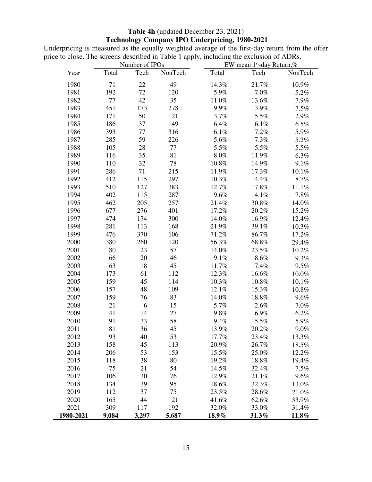# **Table 4h** (updated December 23, 2021)  **Technology Company IPO Underpricing, 1980-2021**

Underpricing is measured as the equally weighted average of the first-day return from the offer price to close. The screens described in Table 1 apply, including the exclusion of ADRs.

|           | Number of IPOs |       |         |         | EW mean $1st$ -day Return,% |         |  |  |
|-----------|----------------|-------|---------|---------|-----------------------------|---------|--|--|
| Year      | Total          | Tech  | NonTech | Total   | Tech                        | NonTech |  |  |
| 1980      | 71             | 22    | 49      | 14.3%   | 21.7%                       | 10.9%   |  |  |
| 1981      | 192            | 72    | 120     | 5.9%    | 7.0%                        | 5.2%    |  |  |
| 1982      | $77\,$         | 42    | 35      | 11.0%   | 13.6%                       | 7.9%    |  |  |
| 1983      | 451            | 173   | 278     | 9.9%    | 13.9%                       | 7.5%    |  |  |
| 1984      | 171            | 50    | 121     | 3.7%    | 5.5%                        | 2.9%    |  |  |
| 1985      | 186            | 37    | 149     | 6.4%    | 6.1%                        | 6.5%    |  |  |
| 1986      | 393            | 77    | 316     | 6.1%    | 7.2%                        | 5.9%    |  |  |
| 1987      | 285            | 59    | 226     | 5.6%    | 7.3%                        | 5.2%    |  |  |
| 1988      | 105            | 28    | 77      | 5.5%    | 5.5%                        | 5.5%    |  |  |
| 1989      | 116            | 35    | 81      | 8.0%    | 11.9%                       | 6.3%    |  |  |
| 1990      | 110            | 32    | 78      | 10.8%   | 14.9%                       | 9.1%    |  |  |
| 1991      | 286            | 71    | 215     | 11.9%   | 17.3%                       | 10.1%   |  |  |
| 1992      | 412            | 115   | 297     | 10.3%   | 14.4%                       | 8.7%    |  |  |
| 1993      | 510            | 127   | 383     | 12.7%   | 17.8%                       | 11.1%   |  |  |
| 1994      | 402            | 115   | 287     | 9.6%    | 14.1%                       | 7.8%    |  |  |
| 1995      | 462            | 205   | 257     | 21.4%   | 30.8%                       | 14.0%   |  |  |
| 1996      | 677            | 276   | 401     | 17.2%   | 20.2%                       | 15.2%   |  |  |
| 1997      | 474            | 174   | 300     | 14.0%   | 16.9%                       | 12.4%   |  |  |
| 1998      | 281            | 113   | 168     | 21.9%   | 39.1%                       | 10.3%   |  |  |
| 1999      | 476            | 370   | 106     | 71.2%   | 86.7%                       | 17.2%   |  |  |
| 2000      | 380            | 260   | 120     | 56.3%   | 68.8%                       | 29.4%   |  |  |
| 2001      | 80             | 23    | 57      | 14.0%   | 23.5%                       | 10.2%   |  |  |
| 2002      | 66             | 20    | 46      | 9.1%    | 8.6%                        | 9.3%    |  |  |
| 2003      | 63             | 18    | 45      | 11.7%   | 17.4%                       | 9.5%    |  |  |
| 2004      | 173            | 61    | 112     | 12.3%   | 16.6%                       | 10.0%   |  |  |
| 2005      | 159            | 45    | 114     | 10.3%   | 10.8%                       | 10.1%   |  |  |
| 2006      | 157            | 48    | 109     | 12.1%   | 15.3%                       | 10.8%   |  |  |
| 2007      | 159            | 76    | 83      | 14.0%   | 18.8%                       | 9.6%    |  |  |
| 2008      | 21             | 6     | 15      | 5.7%    | 2.6%                        | 7.0%    |  |  |
| 2009      | 41             | 14    | 27      | $9.8\%$ | 16.9%                       | 6.2%    |  |  |
| 2010      | 91             | 33    | 58      | 9.4%    | 15.5%                       | 5.9%    |  |  |
| 2011      | 81             | 36    | 45      | 13.9%   | 20.2%                       | 9.0%    |  |  |
| 2012      | 93             | 40    | 53      | 17.7%   | 23.4%                       | 13.3%   |  |  |
| 2013      | 158            | 45    | 113     | 20.9%   | 26.7%                       | 18.5%   |  |  |
| 2014      | 206            | 53    | 153     | 15.5%   | 25.0%                       | 12.2%   |  |  |
| 2015      | 118            | 38    | 80      | 19.2%   | 18.8%                       | 19.4%   |  |  |
| 2016      | 75             | 21    | 54      | 14.5%   | 32.4%                       | 7.5%    |  |  |
| 2017      | 106            | 30    | 76      | 12.9%   | 21.1%                       | 9.6%    |  |  |
| 2018      | 134            | 39    | 95      | 18.6%   | 32.3%                       | 13.0%   |  |  |
| 2019      | 112            | 37    | 75      | 23.5%   | 28.6%                       | 21.0%   |  |  |
| 2020      | 165            | 44    | 121     | 41.6%   | 62.6%                       | 33.9%   |  |  |
| 2021      | 309            | 117   | 192     | 32.0%   | 33.0%                       | 31.4%   |  |  |
| 1980-2021 | 9,084          | 3,297 | 5,687   | 18.9%   | 31.3%                       | 11.8%   |  |  |